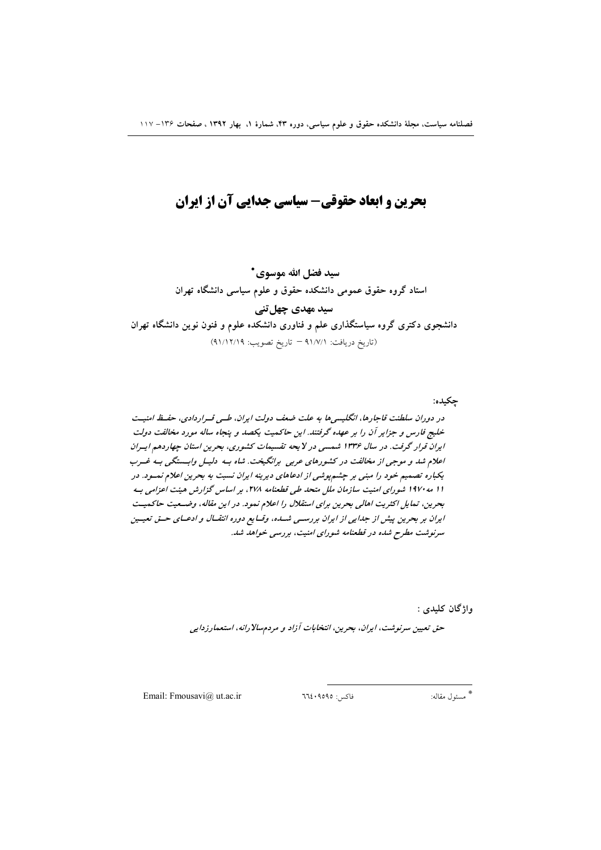# بحرین و ابعاد حقوقی- سیاسی جدایی آن از ایران

سيد فضل الله موسوى \* استاد گروه حقوق عمومی دانشکده حقوق و علوم سیاسی دانشگاه تهران سید مهدی چهل تنی دانشجوی دکتری گروه سیاستگذاری علم و فناوری دانشکده علوم و فنون نوین دانشگاه تهران (تاريخ دريافت: ٩١/٧/١ - تاريخ تصويب: ٩١/١٢/١٩)

چکیده: در دوران سلطنت قاجارها، انگلیسیها به علت ضعف دولت ایران، طبی قبراردادی، حفیظ امنیت خلیج فارس و جزایر آن را بر عهده گرفتند. این حاکمیت یکصد و پنجاه ساله مورد مخالفت دولت ایران قرار گرفت. در سال ۱۳۳۶ شمسی در لایحه تقسیمات کشوری، بحرین استان چهاردهم ایران اعلام شد و موجبی از مخالفت در کشورهای عربی برانگیخت. شاه بـه دلیـل وابـستگی بـه غـرب یکباره تصمیم خود را مبنی بر چشم پوشی از ادعاهای دیرینه ایران نسبت به بحرین اعلام نمسود. در 11 مه ۱۹۷۰ شورای امنیت سازمان ملل متحد طی قطعنامه ۲۷۸، بر اساس گزارش هیئت اعزامی ب بحرين، تمايل اكثريت اهالي بحرين براي استقلال را اعلام نمود. در اين مقاله، وضبعيت حاكميت ایران بر بحرین پیش از جدایی از ایران بررستی شسده، وقتایع دوره انتقبال و ادعیای حسق تعیسین سرنوشت مطرح شده در قطعنامه شورای امنیت، بررسی خواهد شد.

واژگان کليدي :

حق تعیین سرنوشت، ایران، بحرین، انتخابات آزاد و مردمسالا رانه، استعمارزدایی

Email: Fmousavi@ ut.ac.ir

فاكس: ٩٥٩٥؟٢٦٤

\* مسئول مقاله: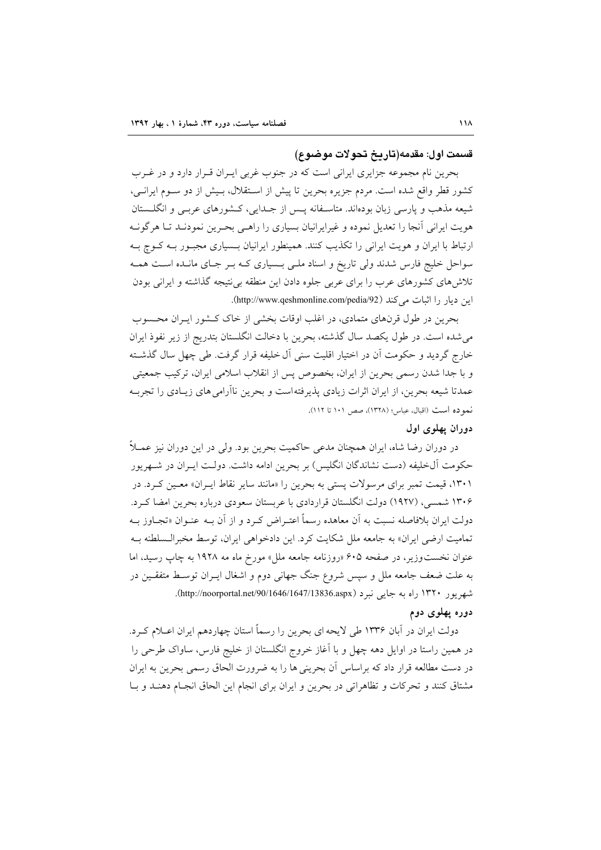#### قسمت اول: مقدمه(تاريخ تحولات موضوع)

بحرین نام مجموعه جزایری ایرانی است که در جنوب غربی ایـران قـرار دارد و در غــرب کشور قطر واقع شده است. مردم جزیره بحرین تا پیش از اسـتقلال، بـیش از دو سـوم ایرانـی، شیعه مذهب و پارسی زبان بودهاند. متاسفانه پس از جلدایی، کشورهای عربـی و انگلـستان هویت ایرانی آنجا را تعدیل نموده و غیرایرانیان بسیاری را راهـی بحـرین نمودنـد تـا هرگونــه ارتباط با ایران و هویت ایرانی را تکذیب کنند. همینطور ایرانیان بـسیاری مجبـور بـه کـوچ بـه سواحل خلیج فارس شدند ولی تاریخ و اسناد ملبی بـسیاری کـه بـر جـای مانـده اسـت همـه تلاش های کشورهای عرب را برای عربی جلوه دادن این منطقه بی نتیجه گذاشته و ایرانی بودن این دیار را اثبات می کند (http://www.qeshmonline.com/pedia/92).

بحرین در طول قرنهای متمادی، در اغلب اوقات بخشی از خاک کـشور ایـران محـسوب می شده است. در طول یکصد سال گذشته، بحرین با دخالت انگلستان بتدریج از زیر نفوذ ایران خارج گردید و حکومت اّن در اختیار اقلیت سنی اّل خلیفه قرار گرفت. طی چهل سال گذشــته و با جدا شدن رسمی بحرین از ایران، بخصوص پس از انقلاب اسلامی ایران، ترکیب جمعیتی عمدتا شیعه بحرین، از ایران اثرات زیادی پذیرفته است و بحرین ناآرامی های زیـادی را تجربـه نمو ده است (اقبال، عباس؛ (١٣٢٨)، صص ١٠١ تا ١١٢).

## دوران پهلوی اول

در دوران رضا شاه، ایران همچنان مدعی حاکمیت بحرین بود. ولی در این دوران نیز عمــلاً حکومت آلخلیفه (دست نشاندگان انگلیس) بر بحرین ادامه داشت. دولـت ایــران در شــهریور ۱۳۰۱، قیمت تمبر برای مرسولات پستی به بحرین را «مانند سایر نقاط ایـران» معـین کـرد. در ۱۳۰۶ شمسی، (۱۹۲۷) دولت انگلستان قراردادی با عربستان سعودی درباره بحرین امضا که د. دولت ایران بلافاصله نسبت به آن معاهده رسماً اعتـراض کـرد و از آن بــه عنــوان «تجــاوز بــه تماميت ارضي ايران» به جامعه ملل شكايت كرد. اين دادخواهي ايران، توسط مخبرالـسلطنه بـه عنوان نخست وزیر، در صفحه ۶۰۵ «روزنامه جامعه ملل» مورخ ماه مه ۱۹۲۸ به چاپ رسید، اما به علت ضعف جامعه ملل و سپس شروع جنگ جهانی دوم و اشغال ایــران توسـط متفقــین در شهريور ۱۳۲۰ راه به جايي نيرد (http://noorportal.net/90/1646/1647/13836.aspx).

### دوره یهلوی دوم

دولت ایران در اَبان ۱۳۳۶ طی لایحه ای بحرین را رسماً استان چهاردهم ایران اعــلام کــرد. در همین راستا در اوایل دهه چهل و با آغاز خروج انگلستان از خلیج فارس، ساواک طرحی را در دست مطالعه قرار داد که براساس آن بحرینی ها را به ضرورت الحاق رسمی بحرین به ایران مشتاق كنند و تحركات و تظاهراتي در بحرين و ايران براي انجام اين الحاق انجـام دهنـد و بـا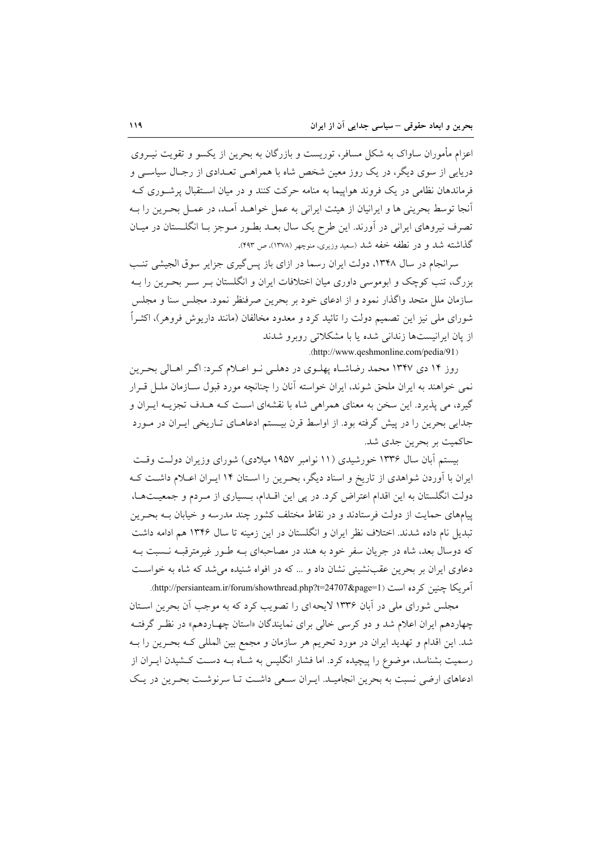اعزام مأموران ساواک به شکل مسافر، توریست و بازرگان به بحرین از یکسو و تقویت نیــروی دریایی از سوی دیگر، در یک روز معین شخص شاه با همراهـی تعـدادی از رجـال سیاسـی و فرماندهان نظامی در یک فروند هواپیما به منامه حرکت کنند و در میان استقبال پرشوری ک آنجا توسط بحرینی ها و ایرانیان از هیئت ایرانی به عمل خواهــد آمــد، در عمــل بحــرین را بــه تصرف نیروهای ایرانی در آورند. این طرح یک سال بعـد بطـور مـوجز بـا انگلـستان در میـان گذاشته شد و در نطفه خفه شد (سعید وزیری، منوچهر (۱۳۷۸)، ص ۴۹۳).

سرانجام در سال ۱۳۴۸، دولت ایران رسما در ازای باز پس گیری جزایر سوق الجیشی تنب بزرگ، تنب کوچک و ابوموسی داوری میان اختلافات ایران و انگلستان بـر سـر بحـرین را بــه سازمان ملل متحد واگذار نمود و از ادعای خود بر بحرین صرفنظر نمود. مجلس سنا و مجلس شورای ملی نیز این تصمیم دولت را تائید کرد و معدود مخالفان (مانند داریوش فروهر)، اکثـراً از یان ایرانیستها زندانی شده یا با مشکلاتی روبرو شدند

.(http://www.qeshmonline.com/pedia/91)

روز ۱۴ دی ۱۳۴۷ محمد رضاشـاه پهلـوی در دهلـی نـو اعـلام کـرد: اگـر اهـالی بحـرین نمی خواهند به ایران ملحق شوند، ایران خواسته آنان را چنانچه مورد قبول سـازمان ملــل قــرار گيرد، مي پذيرد. اين سخن به معناي همراهي شاه با نقشهاي اسـت كــه هــدف تجزيــه ايــران و جدایی بحرین را در پیش گرفته بود. از اواسط قرن بیـستم ادعاهـای تـاریخی ایـران در مـورد حاکمیت بر بحرین جدی شد.

بیستم آبان سال ۱۳۳۶ خورشیدی (۱۱ نوامبر ۱۹۵۷ میلادی) شورای وزیران دولت وقت ایران با آوردن شواهدی از تاریخ و اسناد دیگر، بحـرین را اسـتان ۱۴ ایـران اعــلام داشــت کــه دولت انگلستان به این اقدام اعتراض کرد. در پی این اقـدام، بـسیاری از مـردم و جمعیـتهـا، پیامهای حمایت از دولت فرستادند و در نقاط مختلف کشور چند مدرسه و خیابان بـه بحـرین تبدیل نام داده شدند. اختلاف نظر ایران و انگلستان در این زمینه تا سال ۱۳۴۶ هم ادامه داشت که دوسال بعد، شاه در جریان سفر خود به هند در مصاحبهای بـه طـور غیرمترقبـه نـسبت بـه دعاوی ایران بر بحرین عقبنشینی نشان داد و … که در افواه شنیده می شد که شاه به خواست آمریکا چنین کرده است (http://persianteam.ir/forum/showthread.php?t=24707&page=1).

مجلس شورای ملی در آبان ۱۳۳۶ لایحه ای را تصویب کرد که به موجب آن بحرین اسـتان چهاردهم ایران اعلام شد و دو کرسی خالی برای نمایندگان «استان چهـاردهم» در نظـر گرفتـه شد. این اقدام و تهدید ایران در مورد تحریم هر سازمان و مجمع بین المللی کـه بحـرین را بـه رسمیت بشناسد، موضوع را پیچیده کرد. اما فشار انگلیس به شـاه بــه دســت کــشیدن ایــران از ادعاهای ارضی نسبت به بحرین انجامیـد. ایـران سـعی داشـت تـا سرنوشـت بحـرین در یـک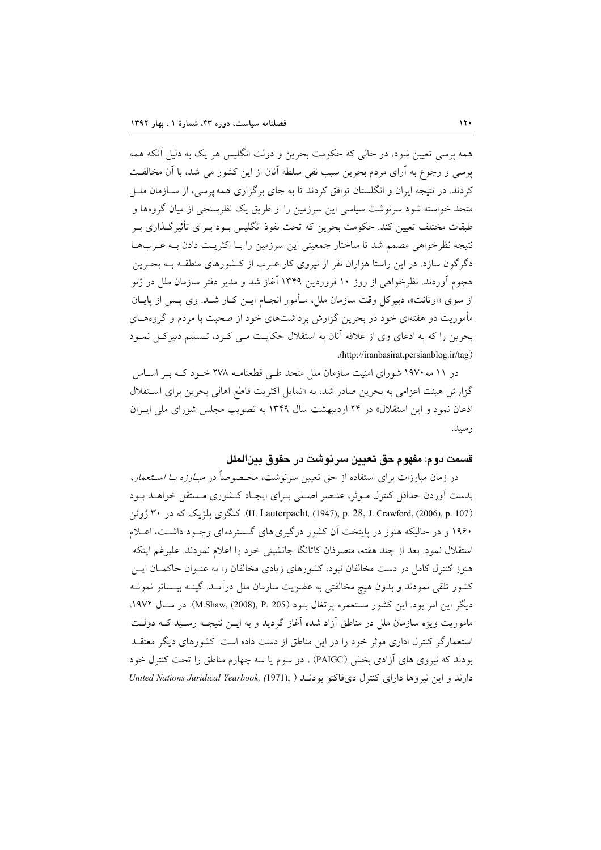همه پرسی تعیین شود، در حالی که حکومت بحرین و دولت انگلیس هر یک به دلیل آنکه همه یرسی و رجوع به آرای مردم بحرین سبب نفی سلطه آنان از این کشور می شد، با آن مخالفت کردند. در نتیجه ایران و انگلستان توافق کردند تا به جای برگزاری همه پرسی، از سـازمان ملـل متحد خواسته شود سرنوشت سیاسی این سرزمین را از طریق یک نظرسنجی از میان گروهها و طبقات مختلف تعیین کند. حکومت بحرین که تحت نفوذ انگلیس بـود بـرای تأثیرگـذاری بـر نتيجه نظرخواهي مصمم شد تا ساختار جمعيتي اين سرزمين را بــا اكثريـت دادن بــه عــربهــا دگر گون سازد. در این راستا هزاران نفر از نیروی کار عـرب از کــشورهای منطقـه بـه بحـرین هجوم آوردند. نظرخواهی از روز ۱۰ فروردین ۱۳۴۹ آغاز شد و مدیر دفتر سازمان ملل در ژنو از سوی «اوتانت»، دبیرکل وقت سازمان ملل، مـأمور انجـام ایــن کــار شــد. وی پــس از پایــان مأموریت دو هفتهای خود در بحرین گزارش برداشتهای خود از صحبت با مردم و گروههـای بحرین را که به ادعای وی از علاقه آنان به استقلال حکایـت مـی کـرد، تـسلیم دبیرکـل نمـود .(http://iranbasirat.persianblog.ir/tag)

در ۱۱ مه ۱۹۷۰ شورای امنیت سازمان ملل متحد طبی قطعنامـه ۲۷۸ خـود کـه بـر اسـاس گزارش هیئت اعزامی به بحرین صادر شد، به «تمایل اکثریت قاطع اهالی بحرین برای استقلال اذعان نمود و این استقلال» در ۲۴ اردیبهشت سال ۱۳۴۹ به تصویب مجلس شورای مل<sub>ی</sub> ایـران رسيد.

## قسمت دوم: مفهوم حق تعيين سرنوشت در حقوق بينالملل

در زمان مبارزات برای استفاده از حق تعیین سرنوشت، مخـصوصاً در *مبـارزه بـا اســتعمار*، بدست آوردن حداقل كنترل موثر، عنـصر اصـلي بـراي ايجـاد كـشوري مـستقل خواهـد بـود (H. Lauterpacht, (1947), p. 28, J. Crawford, (2006), p. 107). كَنْݣُوي بِلِرْيِكِ كَه در ٣٠ ژوئن ۱۹۶۰ و در حالیکه هنوز در پایتخت آن کشور درگیری های گـستردهای وجـود داشـت، اعـلام استقلال نمود. بعد از چند هفته، متصرفان كاتانگا جانشینی خود را اعلام نمودند. علیرغم اینکه هنوز کنترل کامل در دست مخالفان نبود، کشورهای زیادی مخالفان را به عنـوان حاکمـان ایــز کشور تلقی نمودند و بدون هیچ مخالفتی به عضویت سازمان ملل درآمـد. گینــه بیــسائو نمونــه دیگر این امر بود. این کشور مستعمره پرتغال بـود (M.Shaw, (2008), P. 205). در سـال ۱۹۷۲، ماموریت ویژه سازمان ملل در مناطق آزاد شده آغاز گردید و به ایــن نتیجــه رسـید کــه دولــت استعمارگر کنترل اداری موثر خود را در این مناطق از دست داده است. کشورهای دیگر معتقــد بودند که نیروی های آزادی بخش (PAIGC) ، دو سوم یا سه چهارم مناطق را تحت کنترل خود دارند و این نیروها دارای کنترل دیفاکتو بودنـد ( United Nations Juridical Yearbook, (1971), )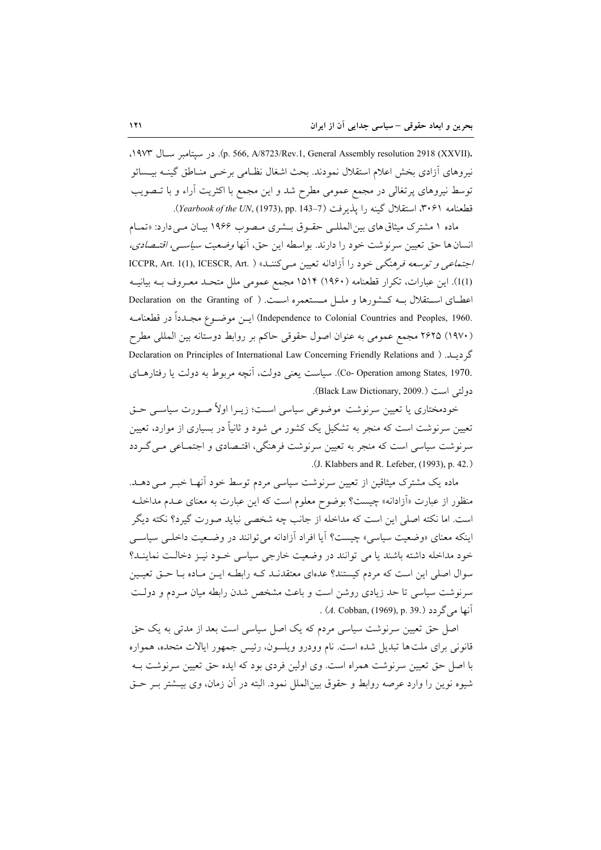. (p. 566, A/8723/Rev.1, General Assembly resolution 2918 (XXVII). در سيتامبر سـال ١٩٧٣، نيروهاي آزادي بخش اعلام استقلال نمودند. بحث اشغال نظـامي برخــي منــاطق گينــه بيــسائو توسط نیروهای پرتغالی در مجمع عمومی مطرح شد و این مجمع با اکثریت آراء و با تـصویب قطعنامه ٣٠۶١، استقلال گينه را يذيرفت (7-143 .Yearbook of the UN, (1973), pp. 143).

ماده ۱ مشترک میثاق های بین المللے حقوق بـشری مـصوب ۱۹۶۶ بیـان مـی دارد: «تمـام انسان ها حق تعیین سرنوشت خود را دارند. بواسطه این حق، آنها *وضعیت سیاسی، اقتـصادی،* اجتماعی و توسعه فرهنگی خود را آزادانه تعیین می کنند» ( .ICCPR, Art. 1(1), ICESCR, Art (1)1). این عبارات، تکرار قطعنامه (۱۹۶۰) ۱۵۱۴ مجمع عمومی ملل متحـد معـروف بـه بیانیـه اعطـای اسـتقلال بــه کــشورها و ملــل مــستعمره اســت. ( Declaration on the Granting of .Independence to Colonial Countries and Peoples, 1960) ايسن موضوع مجـدداً در قطعنامـه (١٩٧٠) ٢۶٢۵ مجمع عمومي به عنوان اصول حقوقي حاكم بر روابط دوستانه بين المللي مطرح گر دیبلد. ( Declaration on Principles of International Law Concerning Friendly Relations and ) .Co- Operation among States, 1970). سیاست یعنی دولت، آنچه مربوط به دولت یا رفتارهای دولتي است (.Black Law Dictionary, 2009).

خودمختاری یا تعیین سرنوشت موضوعی سیاسی اسـت؛ زیــرا اولاً صــورت سیاســی حــق تعیین سرنوشت است که منجر به تشکیل یک کشور می شود و ثانیاً در بسیاری از موارد، تعیین سرنوشت سیاسی است که منجر به تعیین سرنوشت فرهنگی، اقتـصادی و اجتمـاعی مـی گـردد .(J. Klabbers and R. Lefeber, (1993), p. 42.)

ماده یک مشترک میثاقین از تعیین سرنوشت سیاسی مردم توسط خود آنهـا خبـر مـی دهـد. منظور از عبارت «اَزادانه» چیست؟ بوضوح معلوم است که این عبارت به معنای عــدم مداخلــه است. اما نکته اصلی این است که مداخله از جانب چه شخصی نباید صورت گیرد؟ نکته دیگر اینکه معنای «وضعیت سیاسی» چیست؟ آیا افراد آزادانه می توانند در وضعیت داخلبی سیاسبی خود مداخله داشته باشند یا می توانند در وضعیت خارجی سیاسی خـود نیـز دخالـت نماینـد؟ سوال اصلی این است که مردم کیستند؟ عدمای معتقدنـد کـه رابطـه ایـن مـاده بـا حـق تعیـین سرنوشت سیاسی تا حد زیادی روشن است و باعث مشخص شدن رابطه میان مـردم و دولـت . (A. Cobban, (1969), p. 39.) s (4.

اصل حق تعیین سرنوشت سیاسی مردم که یک اصل سیاسی است بعد از مدتی به یک حق قانونی برای ملت ها تبدیل شده است. نام وودرو ویلسون، رئیس جمهور ایالات متحده، همواره با اصل حق تعیین سرنوشت همراه است. وی اولین فردی بود که ایده حق تعیین سرنوشت بـه شیوه نوین را وارد عرصه روابط و حقوق بین|لملل نمود. البته در آن زمان، وی بیـشتر بـر حـق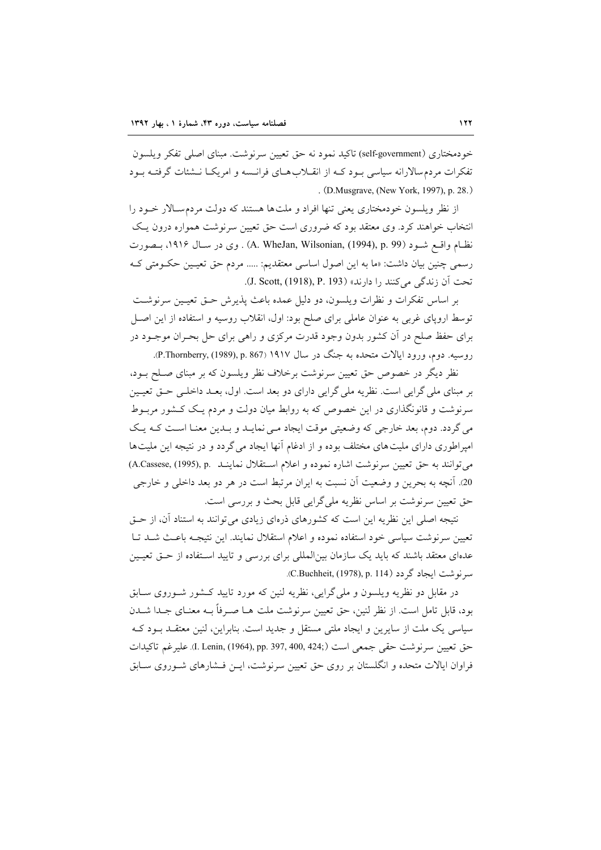خودمختاري (self-government) تاكيد نمود نه حق تعيين سرنوشت. مبناي اصلي تفكر ويلسون تفکرات مردم سالارانه سیاسی بود کـه از انقــلاب هــای فرانــسه و امریکــا نــشئات گرفتــه بـود . (D.Musgrave, (New York, 1997), p. 28.)

از نظر ویلسون خودمختاری یعنی تنها افراد و ملتها هستند که دولت مردمسالار خــود را انتخاب خواهند کرد. وی معتقد بود که ضروری است حق تعیین سرنوشت همواره درون یـک نظـام واقـع شــود (A. WheJan, Wilsonian, (1994), p. 99) . وي در ســال ١٩١۶، بــصورت رسمي چنين بيان داشت: «ما به اين اصول اساسي معتقديم: ..... مردم حق تعيـين حكـومتي كـه تحت آن زندگی می کنند را دارند» (J. Scott, (1918), P. 193).

بر اساس تفكرات و نظرات ويلسون، دو دليل عمده باعث پذيرش حـق تعيـين سرنوشـت توسط اروپای غربی به عنوان عاملی برای صلح بود: اول، انقلاب روسیه و استفاده از این اصـل برای حفظ صلح در آن کشور بدون وجود قدرت مرکزی و راهی برای حل بحـران موجــود در روسيه. دوم، ورود ايالات متحده به جنگ در سال ۱۹۱۷ (P.Thornberry, (1989), p. 867).

نظر دیگر در خصوص حق تعیین سرنوشت برخلاف نظر ویلسون که بر مبنای صـلح بــود، بر مبنای ملی گرایی است. نظریه ملی گرایی دارای دو بعد است. اول، بعـد داخلـی حـق تعیـین سرنوشت و قانونگذاری در این خصوص که به روابط میان دولت و مردم یک کـشور مربـوط می گردد. دوم، بعد خارجی که وضعیتی موقت ایجاد مـی نمایـد و بـدین معنـا اسـت کـه یـک امپراطوری دارای ملیتهای مختلف بوده و از ادغام آنها ایجاد می گردد و در نتیجه این ملیتها مي توانند به حق تعيين سرنوشت اشاره نموده و اعلام استقلال نماينـد .A.Cassese, (1995), p 20. آنچه به بحرين و وضعيت آن نسبت به ايران مرتبط است در هر دو بعد داخلي و خارجي حق تعیین سرنوشت بر اساس نظریه ملی گرایی قابل بحث و بررسی است.

نتیجه اصلی این نظریه این است که کشورهای ذرهای زیادی می توانند به استناد آن، از حـق تعیین سرنوشت سیاسی خود استفاده نموده و اعلام استقلال نمایند. این نتیجــه باعـث شــد تــا عدهای معتقد باشند که باید یک سازمان بین المللی برای بررسی و تایید استفاده از حتی تعیـین سرنوشت ايجاد گر دد (C.Buchheit, (1978), p. 114).

در مقابل دو نظریه ویلسون و ملی گرایی، نظریه لنین که مورد تایید کـشور شـوروی سـابق بود، قابل تامل است. از نظر لنین، حق تعیین سرنوشت ملت هــا صــرفاً بــه معنــای جــدا شــدن سیاسی یک ملت از سایرین و ایجاد ملتی مستقل و جدید است. بنابراین، لنین معتقـد بـود کـه حق تعيين سرنوشت حقى جمعي است (194, 190, 1944), pp. 397, 400, 424). عليرغم تاكيدات فراوان ایالات متحده و انگلستان بر روی حق تعیین سرنوشت، ایــن فــشارهای شــوروی ســابق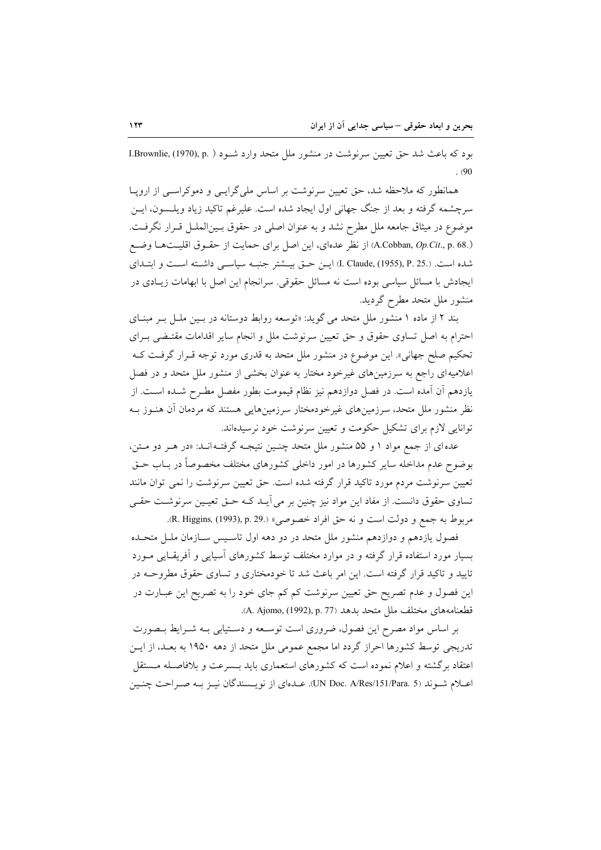بود که باعث شد حق تعیین سرنوشت در منشور ملل متحد وارد شـود ( .I.Brownlie, (1970), p  $.90$ 

همانطور که ملاحظه شد، حق تعیین سرنوشت بر اساس ملیگرایسی و دموکراسسی از اروپا سرچشمه گرفته و بعد از جنگ جهانی اول ایجاد شده است. علیرغم تاکید زیاد ویلـسون، ایــن موضوع در میثاق جامعه ملل مطرح نشد و به عنوان اصلی در حقوق بـینالملـل قـرار نگرفـت. (.A.Cobban, Op.Cit., p. 68) از نظر عدهای، این اصل برای حمایت از حقـوق اقلیـتهـا وضـع شده است. (.R. Claude, (1955), P. 25) ايـن حــق بيــشتر جنبــه سياســي داشـته اسـت و ابتــداي ایجادش با مسائل سیاسی بوده است نه مسائل حقوقی. سرانجام این اصل با ابهامات زیـادی در منشور ملل متحد مطرح گردید.

بند ۲ از ماده ۱ منشور ملل متحد می گوید: «توسعه روابط دوستانه در بسین ملـل بـر مبنـای احترام به اصل تساوی حقوق و حق تعیین سرنوشت ملل و انجام سایر اقدامات مقتـضی بـرای تحکیم صلح جهانی». این موضوع در منشور ملل متحد به قدری مورد توجه قــرار گرفــت کــه اعلامیهای راجع به سرزمینهای غیرخود مختار به عنوان بخشی از منشور ملل متحد و در فصل یازدهم آن آمده است. در فصل دوازدهم نیز نظام قیمومت بطور مفصل مطـرح شـده اسـت. از نظر منشور ملل متحد، سرزمینهای غیرخودمختار سرزمینهایی هستند که مردمان آن هنـوز بـه توانایی لازم برای تشکیل حکومت و تعیین سرنوشت خود نرسیدهاند.

عده ای از جمع مواد ۱ و ۵۵ منشور ملل متحد چنـین نتیجـه گرفتـه انـد: «در هـر دو مـتن، بوضوح عدم مداخله سایر کشورها در امور داخلی کشورهای مختلف مخصوصاً در بــاب حــق تعیین سرنوشت مردم مورد تاکید قرار گرفته شده است. حق تعیین سرنوشت را نمی توان مانند تساوی حقوق دانست. از مفاد این مواد نیز چنین بر می آیـد کـه حـق تعیـین سرنوشـت حقـی مربوط به جمع و دولت است و نه حق افراد خصوصي» (R. Higgins, (1993), p. 29.).

فصول یازدهم و دوازدهم منشور ملل متحد در دو دهه اول تاسـیس سـازمان ملـل متحـده بسیار مورد استفاده قرار گرفته و در موارد مختلف توسط کشورهای آسیایی و آفریقـایی مـورد تایید و تاکید قرار گرفته است. این امر باعث شد تا خودمختاری و تساوی حقوق مطروحـه در این فصول و عدم تصریح حق تعیین سرنوشت کم کم جای خود را به تصریح این عبـارت در قطعنامههای مختلف ملل متحد بدهد (A. Ajomo, (1992), p. 77).

بر اساس مواد مصرح این فصول، ضروری است توسعه و دستیابی بـه شـرایط بـصورت تدریجی توسط کشورها احراز گردد اما مجمع عمومی ملل متحد از دهه ۱۹۵۰ به بعـد، از ایـن اعتقاد برگشته و اعلام نموده است که کشورهای استعماری باید بـسرعت و بلافاصـله مـستقل اعـلام شــوند (VN Doc. A/Res/151/Para. 5). عــدهاي از نويــسندگان نيــز بــه صــراحت چنــين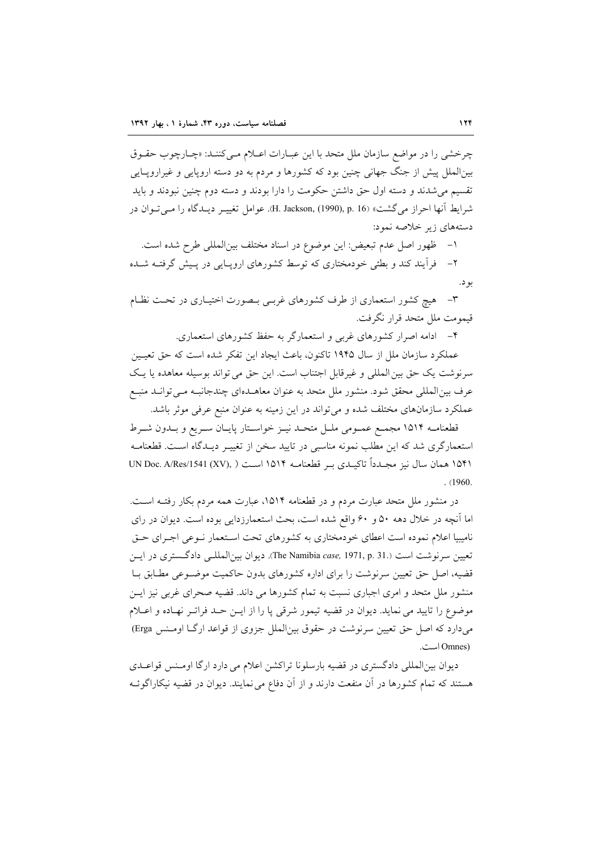چرخشی را در مواضع سازمان ملل متحد با این عبـارات اعـلام مـیکننـد: «چـارچوب حقـوق بینالملل پیش از جنگ جهانی چنین بود که کشورها و مردم به دو دسته اروپایی و غیراروپـایی تقسیم می شدند و دسته اول حق داشتن حکومت را دارا بودند و دسته دوم چنین نبودند و باید شرايط آنها احراز مي گشت» (H. Jackson, (1990), p. 16). عوامل تغييــر ديــدگاه را مــي تــوان در دستههای زیر خلاصه نمود:

۱– ظهور اصل عدم تبعیض: این موضوع در اسناد مختلف بین|لمللی طرح شده است.

۲– فرأیند کند و بطئی خودمختاری که توسط کشورهای اروپـایی در پـیش گرفتـه شــده بو د.

٣- هيچ كشور استعماري از طرف كشورهاي غربـي بـصورت اختيـاري در تحـت نظـام قيمومت ملل متحد قرار نگرفت.

۴– ادامه اصرار کشورهای غربی و استعمارگر به حفظ کشورهای استعماری.

عملکرد سازمان ملل از سال ۱۹۴۵ تاکنون، باعث ایجاد این تفکر شده است که حق تعیـین سرنوشت يک حق بين المللي و غيرقابل اجتناب است. اين حق مي تواند بوسيله معاهده يا يک عرف بین المللی محقق شود. منشور ملل متحد به عنوان معاهـدهای چندجانبـه مـی توانـد منبـع عملکرد سازمانهای مختلف شده و میتواند در این زمینه به عنوان منبع عرفی موثر باشد.

قطعنامـه ١٥١۴ مجمـع عمـومي ملـل متحـد نيـز خواسـتار پايـان سـريع و بـدون شـرط استعمارگری شد که این مطلب نمونه مناسبی در تایید سخن از تغییـر دیـدگاه اسـت. قطعنامـه ١٥۴١ همان سال نيز مجـدداً تاكيـدي بـر قطعنامــه ١٥١۴ اسـت ( ,UN Doc. A/Res/1541 (XV)  $(1960)$ 

در منشور ملل متحد عبارت مردم و در قطعنامه ۱۵۱۴، عبارت همه مردم بکار رفتــه اســت. اما آنچه در خلال دهه ۵۰ و ۶۰ واقع شده است، بحث استعمارزدایی بوده است. دیوان در رای نامیبیا اعلام نموده است اعطای خودمختاری به کشورهای تحت اسـتعمار نــوعی اجــرای حــق تعیین سرنوشت است (.The Namibia case, 1971, p. 31). دیوان بین المللے دادگستری در ایس قضیه، اصل حق تعیین سرنوشت را برای اداره کشورهای بدون حاکمیت موضـوعی مطـابق بـا منشور ملل متحد و امری اجباری نسبت به تمام کشورها می داند. قضیه صحرای غربی نیز ایــز موضوع را تاييد مي نمايد. ديوان در قضيه تيمور شرقي يا را از ايــن حــد فراتــر نهــاده و اعــلام می دارد که اصل حق تعیین سرنوشت در حقوق بین(لملل جزوی از قواعد ارگـا اومـنس Erga) (Omnes است.

دیوان بینالمللی دادگستری در قضیه بارسلونا تراکشن اعلام می دارد ارگا اومـنس قواعـدی هستند که تمام کشورها در آن منفعت دارند و از آن دفاع می نمایند. دیوان در قضیه نیکاراگوئــه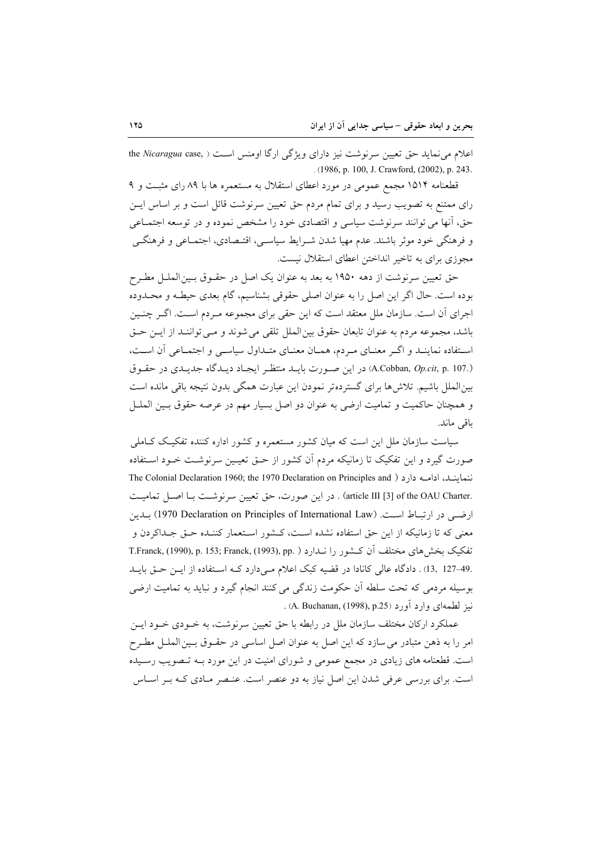اعلام می نماید حق تعیین سرنوشت نیز دارای ویژگی ارگا اومنس است ( ,the Nicaragua case . (1986, p. 100, J. Crawford, (2002), p. 243.

قطعنامه ۱۵۱۴ مجمع عمومی در مورد اعطای استقلال به مستعمره ها با ۸۹ رای مثبت و ۹ رای ممتنع به تصویب رسید و برای تمام مردم حق تعیین سرنوشت قائل است و بر اساس ایــن حق، آنها می توانند سرنوشت سیاسی و اقتصادی خود را مشخص نموده و در توسعه اجتمـاعی و فرهنگی خود موثر باشند. عدم مهیا شدن شـرایط سیاسـی، اقتـصادی، اجتمــاعی و فرهنگــی مجوزی برای به تاخیر انداختن اعطای استقلال نیست.

حق تعیین سرنوشت از دهه ۱۹۵۰ به بعد به عنوان یک اصل در حقـوق بـینالملـل مطـرح بوده است. حال اگر این اصل را به عنوان اصلی حقوقی بشناسیم، گام بعدی حیطـه و محـدوده اجرای آن است. سازمان ملل معتقد است که این حقی برای مجموعه مـردم اسـت. اگـر چنـین باشد، مجموعه مردم به عنوان تابعان حقوق بين الملل تلقى مى شوند و مـى تواننـد از ايـن حـق استفاده نماینـد و اگـر معنـای مـردم، همـان معنـای متـداول سیاسـی و اجتمـاعی آن اسـت، (A.Cobban, Op.cit, p. 107.) در این صورت بایـد منتظـر ایجـاد دیـدگاه جدیـدی در حقـوق بین الملل باشیم. تلاش ها برای گستردهتر نمودن این عبارت همگی بدون نتیجه باقی مانده است و همچنان حاکمیت و تمامیت ارضی به عنوان دو اصل بسیار مهم در عرصه حقوق بـین الملـل باقى ماند.

سیاست سازمان ملل این است که میان کشور مستعمره و کشور اداره کننده تفکیـک کــاملی صورت گیرد و این تفکیک تا زمانیکه مردم آن کشور از حـق تعیـین سرنوشـت خـود اسـتفاده ننماينـد، ادامــه دارد ( The Colonial Declaration 1960; the 1970 Declaration on Principles and .article III [3] of the OAU Charter) . در این صورت، حق تعیین سرنوشت بـا اصـل تمامیـت ارضي در ارتباط است. (1970 Declaration on Principles of International Law) بيدين معنى كه تا زمانيكه از اين حق استفاده نشده است، كـشور اسـتعمار كننـده حـق جـداكردن و تفكيك بخش هاي مختلف أن كـشور را نـدارد ( T.Franck, (1990), p. 153; Franck, (1993), pp. .49–127 ,13). دادگاه عالی کانادا در قضیه کبک اعلام مے دارد کـه استفاده از ایـن حـق بایـد بوسیله مردمی که تحت سلطه آن حکومت زندگی می کنند انجام گیرد و نباید به تمامیت ارضی نيز لطمهاي وارد أورد (p.25), A. Buchanan, (1998), p.25).

عملکرد ارکان مختلف سازمان ملل در رابطه با حق تعیین سرنوشت، به خـودی خـود ایــن امر را به ذهن متبادر می سازد که این اصل به عنوان اصل اساسی در حقـوق بـین۱لملــل مطـرح است. قطعنامه های زیادی در مجمع عمومی و شورای امنیت در این مورد بـه تـصویب رسـیده است. برای بررسی عرفی شدن این اصل نیاز به دو عنصر است. عنصر مـادی کـه بـر اسـاس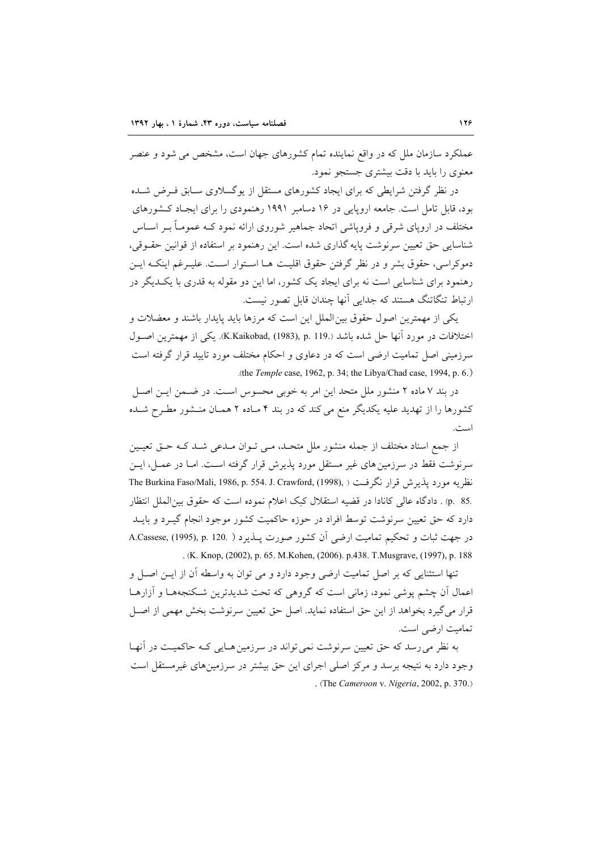عملکرد سازمان ملل که در واقع نماینده تمام کشورهای جهان است، مشخص می شود و عنصر معنوی را باید با دقت بیشتری جستجو نمود.

در نظر گرفتن شرایطی که برای ایجاد کشورهای مستقل از یوگسلاوی سـابق فـرض شـده بود، قابل تامل است. جامعه اروپایی در ۱۶ دسامبر ۱۹۹۱ رهنمودی را برای ایجـاد کـشورهای مختلف در اروپای شرقی و فروپاشی اتحاد جماهیر شوروی ارائه نمود کـه عمومـاً بــر اســاس شناسایی حق تعیین سرنوشت پایه گذاری شده است. این رهنمود بر استفاده از قوانین حقـوقی، دموكراسي، حقوق بشر و در نظر گرفتن حقوق اقليت هـا اسـتوار اسـت. عليـرغم اينكـه ايـن رهنمود برای شناسایی است نه برای ایجاد یک کشور، اما این دو مقوله به قدری با یک دیگر در ارتباط تنگاتنگ هستند که جدایی آنها چندان قابل تصور نیست.

یکی از مهمترین اصول حقوق بین الملل این است که مرزها باید پایدار باشند و معضلات و اختلافات در مورد آنها حل شده باشد (K.Kaikobad, (1983), p. 119.). يكي از مهمترين اصـول سرزمینی اصل تمامیت ارضی است که در دعاوی و احکام مختلف مورد تایید قرار گرفته است .(the Temple case, 1962, p. 34; the Libya/Chad case, 1994, p. 6.)

در بند ۷ ماده ۲ منشور ملل متحد این امر به خوبی محسوس است. در ضـمن ایـن اصـل کشورها را از تهدید علیه یکدیگر منع می کند که در بند ۴ مـاده ۲ همـان منـشور مطـرح شـده است.

از جمع اسناد مختلف از جمله منشور ملل متحـد، مـي تـوان مـدعى شـد كـه حـق تعيـين سرنوشت فقط در سرزمین های غیر مستقل مورد پذیرش قرار گرفته اسـت. امـا در عمــل، ایــن نظريه مورد يذيرش قرار نگرفت ( The Burkina Faso/Mali, 1986, p. 554. J. Crawford, (1998), .p. 85) . دادگاه عالی کانادا در قضیه استقلال کبک اعلام نموده است که حقوق بین الملل انتظار دارد که حق تعیین سرنوشت توسط افراد در حوزه حاکمیت کشور موجود انجام گیــرد و بایــد در جهت ثبات و تحکیم تمامیت ارضی آن کشور صورت پــذیرد ( .A.Cassese, (1995), p. 120 . (K. Knop, (2002), p. 65. M. Kohen, (2006). p. 438. T. Musgrave, (1997), p. 188

تنها استثنایی که بر اصل تمامیت ارضی وجود دارد و می توان به واسطه آن از ایــن اصــل و اعمال أن چشم یوشی نمود، زمانی است که گروهی که تحت شدیدترین شکنجهها و آزارهـا قرار مي گيرد بخواهد از اين حق استفاده نمايد. اصل حق تعيين سرنوشت بخش مهمي از اصـل تمامیت ارضی است.

به نظر می رسد که حق تعیین سرنوشت نمی تواند در سرزمین هـایی کـه حاکمیـت در آنهـا وجود دارد به نتیجه برسد و مرکز اصلی اجرای این حق بیشتر در سرزمینهای غیرمستقل است . (The Cameroon v. Nigeria, 2002, p. 370.)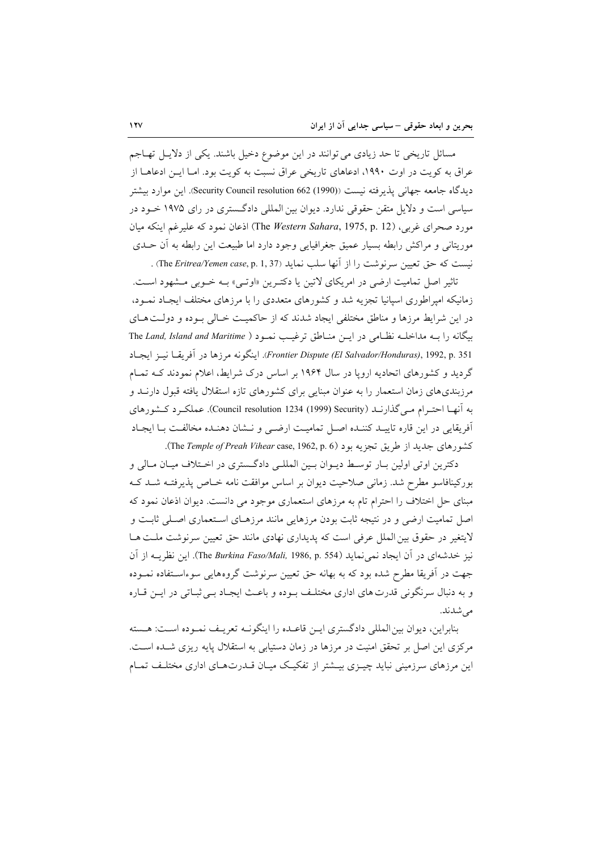مسائل تاریخی تا حد زیادی می توانند در این موضوع دخیل باشند. یکی از دلایـل تهــاجم عراق به کویت در اوت ۱۹۹۰، ادعاهای تاریخی عراق نسبت به کویت بود. امـا ایــن ادعاهــا از ديدگاه جامعه جهاني يذيرفته نيست ((Security Council resolution 662 (1990). اين موارد بيشتر سیاسی است و دلایل متقن حقوقی ندارد. دیوان بین المللی دادگستری در رای ۱۹۷۵ خـود در مورد صحراي غربي، (The *Western Sahara*, 1975, p. 12) اذعان نمود كه عليرغم اينكه ميان موریتانی و مراکش رابطه بسیار عمیق جغرافیایی وجود دارد اما طبیعت این رابطه به أن حــدی نيست كه حق تعيين سرنوشت را از آنها سلب نمايد (The Eritrea/Yemen case, p. 1, 37) .

تاثیر اصل تمامیت ارضی در امریکای لاتین یا دکتـرین «اوتـی» بـه خـوبی مـشهود اسـت. زمانیکه امپراطوری اسپانیا تجزیه شد و کشورهای متعددی را با مرزهای مختلف ایجـاد نمـود، در این شرایط مرزها و مناطق مختلفی ایجاد شدند که از حاکمیت خـالی بـوده و دولـت هـای بيكانه را بـه مداخلـه نظـامى در ايـن منـاطق ترغيـب نمـود ( The Land, Island and Maritime Frontier Dispute (El Salvador/Honduras), 1992, p. 351). اينكونه مرزها در أفريقــا نيــز ايجــاد گردید و کشورهای اتحادیه اروپا در سال ۱۹۶۴ بر اساس درک شرایط، اعلام نمودند کـه تمـام مرزبندیهای زمان استعمار را به عنوان مبنایی برای کشورهای تازه استقلال یافته قبول دارنـد و به آنهـا احتـرام مـي گذارنـد (Souncil resolution 1234 (1999) Security). عملكـرد كـشورهاي أفريقايي در اين قاره تاييـد كننـده اصـل تماميـت ارضـي و نــشان دهنـده مخالفـت بـا ايجـاد كشورهاى جديد از طريق تجزيه بود (The Temple of Preah Vihear case, 1962, p. 6).

دکترین اوتی اولین بـار توسـط دیـوان بـین المللـی دادگـستری در اخـتلاف میـان مـالی و بورکینافاسو مطرح شد. زمانی صلاحیت دیوان بر اساس موافقت نامه خـاص پذیرفتـه شــد کــه مبنای حل اختلاف را احترام تام به مرزهای استعماری موجود می دانست. دیوان اذعان نمود که اصل تمامیت ارضی و در نتیجه ثابت بودن مرزهایی مانند مرزهـای اسـتعماری اصـلی ثابـت و لایتغیر در حقوق بین الملل عرفی است که پدیداری نهادی مانند حق تعیین سرنوشت ملت هـا نيز خدشهاى در آن ايجاد نمى نمايد (The Burkina Faso/Mali, 1986, p. 554). اين نظريــه از آن جهت در آفریقا مطرح شده بود که به بهانه حق تعیین سرنوشت گروههایی سوءاسـتفاده نمـوده و به دنبال سرنگونی قدرت های اداری مختلـف بـوده و باعـث ایجـاد بـی ثبـاتی در ایـن قـاره مى شدند.

بنابراین، دیوان بین المللی دادگستری ایـن قاعـده را اینگونـه تعریـف نمـوده اسـت: هـسته مرکزی این اصل بر تحقق امنیت در مرزها در زمان دستیابی به استقلال پایه ریزی شـده اسـت. این مرزهای سرزمینی نباید چیــزی بیــشتر از تفکیــک میــان قــدرت هــای اداری مختلــف تمــام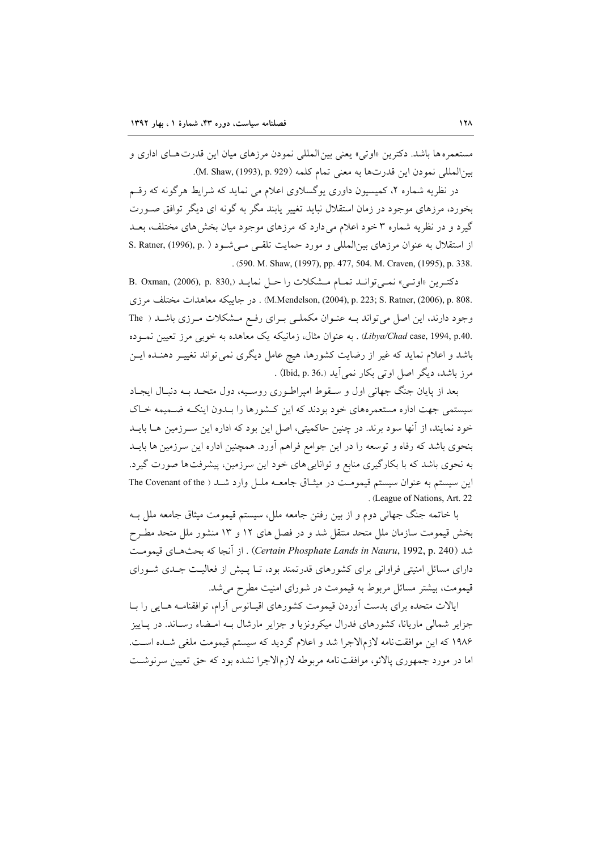مستعمره ها باشد. دكترين «اوتى» يعني بين المللي نمودن مرزهاي ميان اين قدرت هـاي اداري و بين المللي نمودن اين قدرتها به معنى تمام كلمه (M. Shaw, (1993), p. 929).

در نظریه شماره ۲، کمیسیون داوری یوگسلاوی اعلام می نماید که شرایط هرگونه که رقسم بخورد، مرزهای موجود در زمان استقلال نباید تغییر پابند مگر به گونه ای دیگر توافق صـورت گیرد و در نظریه شماره ۳ خود اعلام می دارد که مرزهای موجود میان بخش های مختلف، بعــد از استقلال به عنوان مرزهای بین المللی و مورد حمایت تلقی میشود ( S. Ratner, (1996), p. ) . (590. M. Shaw, (1997), pp. 477, 504. M. Craven, (1995), p. 338.

دكترين «اوتبي» نمي توانـد تمـام مـشكلات را حـل نمايـد B. Oxman, (2006), p. 830, .M.Mendelson, (2004), p. 223; S. Ratner, (2006), p. 808) . در جاييكه معاهدات مختلف مرزى وجود دارند، این اصل می تواند بـه عنـوان مكملـی بـرای رفـع مـشكلات مـرزی باشـد ( The .Libya/Chad case, 1994, p.40) . به عنوان مثال، زمانیکه یک معاهده به خوبی مرز تعیین نمـوده باشد و اعلام نماید که غیر از رضایت کشورها، هیچ عامل دیگری نمی تواند تغییـر دهنــده ایــن مرز باشد، دیگر اصل اوتی بکار نمی آید (Ibid, p. 36) .

بعد از پایان جنگ جهانی اول و سـقوط امپراطـوری روسـیه، دول متحـد بـه دنبـال ایجـاد سیستمی جهت اداره مستعمرههای خود بودند که این کـشورها را بـدون اینکـه ضـمیمه خـاک خود نمایند، از آنها سود برند. در چنین حاکمیتی، اصل این بود که اداره این سـرزمین هــا بایــد بنحوی باشد که رفاه و توسعه را در این جوامع فراهم آورد. همچنین اداره این سرزمین ها بایــد به نحوی باشد که با بکارگیری منابع و توانایی های خود این سرزمین، پیشرفتها صورت گیرد. این سیستم به عنوان سیستم قیمومت در میثـاق جامعــه ملـل وارد شــد ( The Covenant of the . (League of Nations, Art. 22

با خاتمه جنگ جهانی دوم و از بین رفتن جامعه ملل، سیستم قیمومت میثاق جامعه ملل بــه بخش قیمومت سازمان ملل متحد منتقل شد و در فصل های ۱۲ و ۱۳ منشور ملل متحد مطـرح شد (Certain Phosphate Lands in Nauru, 1992, p. 240) . از آنجا كه بحثهاي قيمومت دارای مسائل امنیتی فراوانی برای کشورهای قدرتمند بود، تــا پـیش از فعالیـت جــدی شــورای قیمومت، بیشتر مسائل مربوط به قیمومت در شورای امنیت مطرح می شد.

ایالات متحده برای بدست آوردن قیمومت کشورهای اقیـانوس آرام، توافقنامـه هـایی را بــا جزایر شمالی ماریانا، کشورهای فدرال میکرونزیا و جزایر مارشال بـه امـضاء رسـاند. در پــاییز ۱۹۸۶ که این موافقتنامه لازمالاجرا شد و اعلام گردید که سیستم قیمومت ملغی شـده اسـت. اما در مورد جمهوری پالائو، موافقت نامه مربوطه لازم الاجرا نشده بود که حق تعیین سرنوشت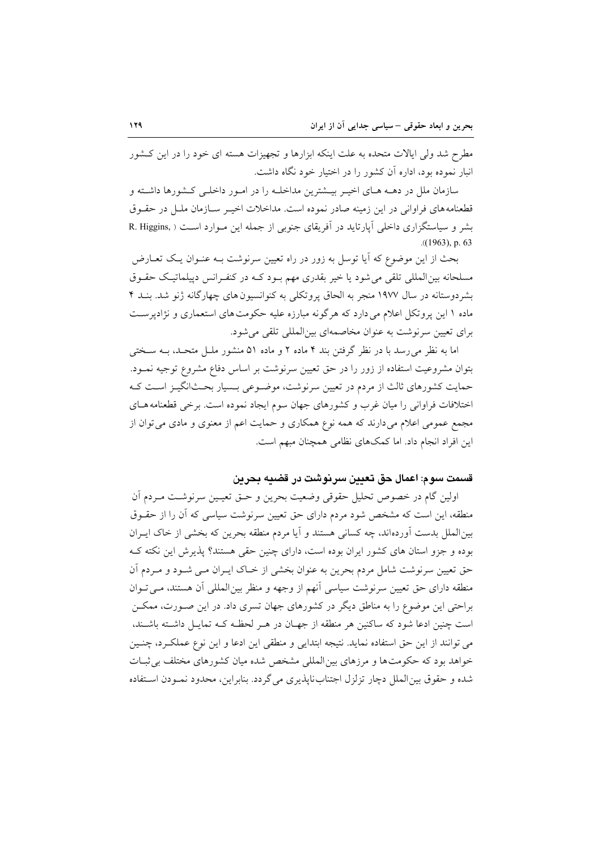مطرح شد ولي ايالات متحده به علت اينكه ابزارها و تجهيزات هسته اي خود را در اين كـشور انبار نموده بود، اداره آن کشور را در اختیار خود نگاه داشت.

سازمان ملل در دهــه هــاي اخيــر بيــشترين مداخلــه را در امــور داخلــي كــشورها داشــته و قطعنامههای فراوانی در این زمینه صادر نموده است. مداخلات اخیــر ســازمان ملــل در حقــوق بشر و سیاستگزاری داخلی آپارتاید در آفریقای جنوبی از جمله این مـوارد اسـت ( R. Higgins,  $(1963)$ , p. 63

بحث از این موضوع که آیا توسل به زور در راه تعیین سرنوشت بـه عنــوان یــک تعــارض مسلحانه بین|لمللی تلقی میشود یا خیر بقدری مهم بـود کـه در کنفـرانس دپیلماتیـک حقـوق بشردوستانه در سال ۱۹۷۷ منجر به الحاق پروتکلی به کنوانسیون های چهارگانه ژنو شد. بنـد ۴ ماده ۱ این پروتکل اعلام می دارد که هرگونه مبارزه علیه حکومتهای استعماری و نژادپرست برای تعیین سرنوشت به عنوان مخاصمهای بینالمللی تلقی می شود.

اما به نظر می رسد با در نظر گرفتن بند ۴ ماده ۲ و ماده ۵۱ منشور ملـل متحـد، بــه سـختی بتوان مشروعیت استفاده از زور را در حق تعیین سرنوشت بر اساس دفاع مشروع توجیه نمـود. حمایت کشورهای ثالث از مردم در تعیین سرنوشت، موضـوعی بـسیار بحـثانگیـز اسـت کـه اختلافات فراوانی را میان غرب و کشورهای جهان سوم ایجاد نموده است. برخی قطعنامه هـای مجمع عمومی اعلام میدارند که همه نوع همکاری و حمایت اعم از معنوی و مادی می توان از این افراد انجام داد. اما کمکهای نظامی همچنان مبهم است.

قسمت سوم: اعمال حق تعيين سرنوشت در قضيه بحرين

اولین گام در خصوص تحلیل حقوقی وضعیت بحرین و حــق تعیــین سرنوشــت مــردم آن منطقه، این است که مشخص شود مردم دارای حق تعیین سرنوشت سیاسی که آن را از حقـوق بین|لملل بدست اَورده|ند، چه کسانی هستند و اَیا مردم منطقه بحرین که بخشی از خاک ایــران بوده و جزو استان های کشور ایران بوده است، دارای چنین حقی هستند؟ پذیرش این نکته ک حق تعیین سرنوشت شامل مردم بحرین به عنوان بخشی از خـاک ایـران مـی شـود و مـردم آن منطقه دارای حق تعیین سرنوشت سیاسی آنهم از وجهه و منظر بین المللی آن هستند، مے توان براحتی این موضوع را به مناطق دیگر در کشورهای جهان تسری داد. در این صـورت، ممکـن است چنین ادعا شود که ساکنین هر منطقه از جهـان در هـر لحظـه کـه تمایـل داشـته باشـند، می توانند از این حق استفاده نماید. نتیجه ابتدایی و منطقی این ادعا و این نوع عملکرد، چنـین خواهد بود که حکومتها و مرزهای بین المللی مشخص شده میان کشورهای مختلف بی ثبـات شده و حقوق بین الملل دچار تزلزل اجتنابنایذیری می گردد. بنابراین، محدود نمـودن اسـتفاده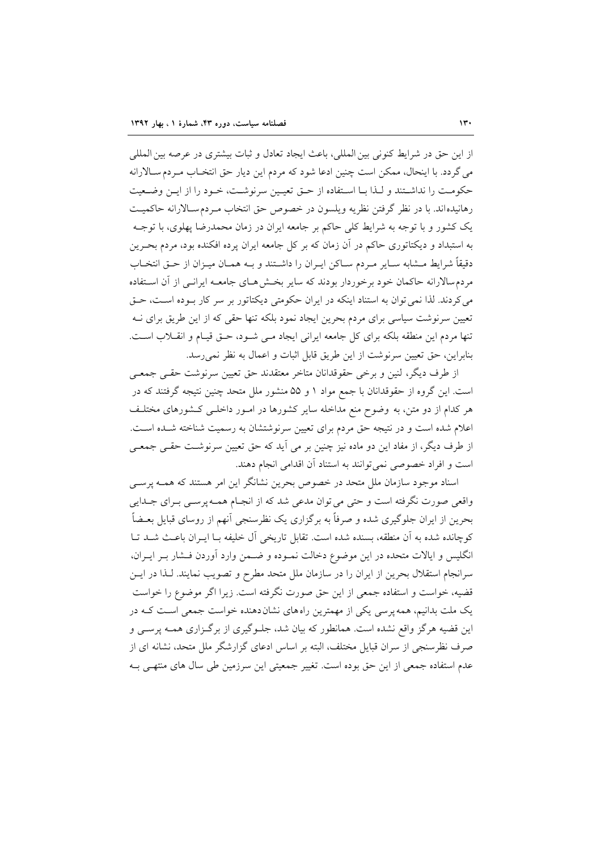از اين حق در شرايط كنوني بين المللي، باعث ايجاد تعادل و ثبات بيشتري در عرصه بين المللي می گردد. با اینحال، ممکن است چنین ادعا شود که مردم این دیار حق انتخـاب مـردمسـالارانه حكومت را نداشتند و لـذا بـا اسـتفاده از حـق تعيـين سرنوشـت، خـود را از ايـن وضـعيت رهانیدهاند. با در نظر گرفتن نظریه ویلسون در خصوص حق انتخاب مـردمسـالارانه حاکمیــت یک کشور و با توجه به شرایط کلی حاکم بر جامعه ایران در زمان محمدرضا پهلوی، با توجـه به استبداد و دیکتاتوری حاکم در آن زمان که بر کل جامعه ایران پرده افکنده بود، مردم بحـرین دقيقاً شرايط مــشابه ســاير مــردم ســاكن ايــران را داشــتند و بــه همــان ميــزان از حــق انتخــاب مردم سالارانه حاکمان خود برخوردار بودند که سایر بخش هـای جامعـه ایرانـی از آن اسـتفاده می کردند. لذا نمی توان به استناد اینکه در ایران حکومتی دیکتاتور بر سر کار بـوده اسـت، حـق تعیین سرنوشت سیاسی برای مردم بحرین ایجاد نمود بلکه تنها حقی که از این طریق برای نــه تنها مردم این منطقه بلکه برای کل جامعه ایرانی ایجاد مـی شـود، حـق قیـام و انقــلاب اسـت. بنابراین، حق تعیین سرنوشت از این طریق قابل اثبات و اعمال به نظر نمی رسد.

از طرف دیگر، لنین و برخی حقوقدانان متاخر معتقدند حق تعیین سرنوشت حقبی جمعبی است. این گروه از حقوقدانان با جمع مواد ۱ و ۵۵ منشور ملل متحد چنین نتیجه گرفتند که در هر کدام از دو متن، به وضوح منع مداخله سایر کشورها در امـور داخلـی کـشورهای مختلـف اعلام شده است و در نتیجه حق مردم برای تعیین سرنوشتشان به رسمیت شناخته شـده اسـت. از طرف دیگر، از مفاد این دو ماده نیز چنین بر می آید که حق تعیین سرنوشت حقـبی جمعـبی است و افراد خصوصی نمی توانند به استناد آن اقدامی انجام دهند.

اسناد موجود سازمان ملل متحد در خصوص بحرين نشانگر اين امر هستند كه همـه پرسـي واقعی صورت نگرفته است و حتی می توان مدعی شد که از انجـام همـه پرســی بــرای جــدایی بحرین از ایران جلوگیری شده و صرفاً به برگزاری یک نظرسنجی آنهم از روسای قبایل بعـضاً كوچانده شده به آن منطقه، بسنده شده است. تقابل تاریخی آل خلیفه بـا ایـران باعـث شـد تـا انگلیس و ایالات متحده در این موضوع دخالت نمـوده و ضـمن وارد آوردن فـشار بـر ایـران، سرانجام استقلال بحرین از ایران را در سازمان ملل متحد مطرح و تصویب نمایند. لـذا در ایــن قضیه، خواست و استفاده جمعی از این حق صورت نگرفته است. زیرا اگر موضوع را خواست یک ملت بدانیم، همه پرسی یکی از مهمترین راههای نشان دهنده خواست جمعی است کـه در این قضیه هرگز واقع نشده است. همانطور که بیان شد، جلـوگیری از برگـزاری همـه پرسـی و صرف نظرسنجی از سران قبایل مختلف، البته بر اساس ادعای گزارشگر ملل متحد، نشانه ای از عدم استفاده جمعی از این حق بوده است. تغییر جمعیتی این سرزمین طی سال های منتهـی بـه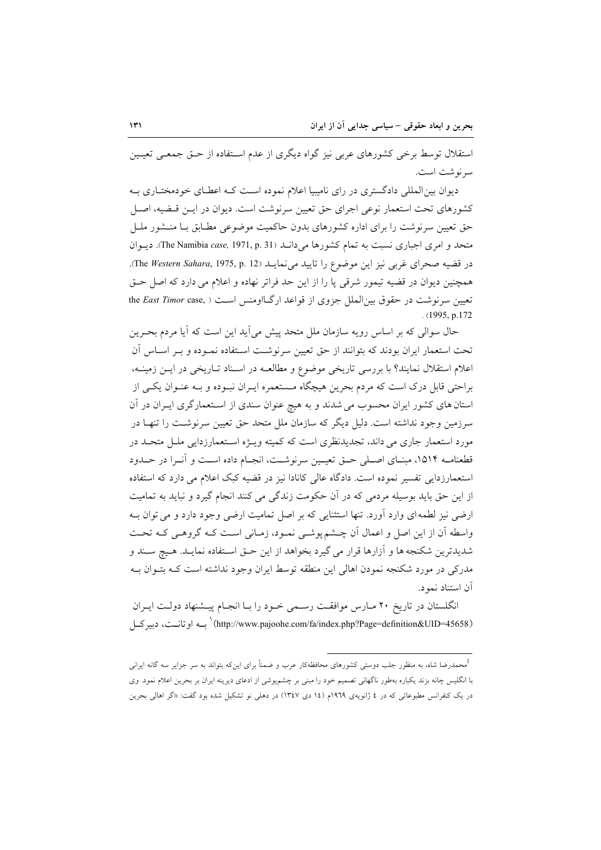استقلال توسط برخی کشورهای عربی نیز گواه دیگری از عدم اسـتفاده از حــق جمعــی تعیــین سرنوشت است.

دیوان بین المللی دادگستری در رای نامیبیا اعلام نموده است کـه اعطـای خودمختـاری بـه کشورهای تحت استعمار نوعی اجرای حق تعیین سرنوشت است. دیوان در ایــن قــضیه، اصــل حق تعیین سرنوشت را برای اداره کشورهای بدون حاکمیت موضوعی مطـابق بــا منــشور ملــل متحد و امری اجباری نسبت به تمام کشورها میدانـد (The Namibia case, 1971, p. 31). ديـوان در قضيه صحراي غربي نيز اين موضوع را تاييد مي نمايـد (The Western Sahara, 1975, p. 12). همچنین دیوان در قضیه تیمور شرقی یا را از این حد فراتر نهاده و اعلام می دارد که اصل حـق تعیین سرنوشت در حقوق بین الملل جزوی از قواعد ارگـااومنس اسـت ( ,the East Timor case  $(1995, p.172)$ 

حال سوالی که بر اساس رویه سازمان ملل متحد پیش می آید این است که آیا مردم بحـرین تحت استعمار ایران بودند که بتوانند از حق تعیین سرنوشت اسـتفاده نمـوده و بـر اسـاس آن اعلام استقلال نمایند؟ با بررسی تاریخی موضوع و مطالعـه در اسـناد تـاریخی در ایــن زمینــه، براحتی قابل درک است که مردم بحرین هیچگاه مـستعمره ایـران نبـوده و بـه عنـوان یکـی از استان های کشور ایران محسوب می شدند و به هیچ عنوان سندی از استعمارگری ایـران در آن سرزمین وجود نداشته است. دلیل دیگر که سازمان ملل متحد حق تعیین سرنوشت را تنهـا در مورد استعمار جاری می داند، تجدیدنظری است که کمیته ویــژه اســتعمارزدایی ملــل متحــد در قطعنامـه ١٥١۴، مبنــاي اصــلي حــق تعيــين سرنوشــت، انجــام داده اسـت و آنــرا در حــدود استعمار; دائے تفسیر نمودہ است. دادگاہ عالی کانادا نیز در قضیه کبک اعلام می دارد که استفادہ از این حق باید بوسیله مردمی که در آن حکومت زندگی می کنند انجام گیرد و نباید به تمامیت ارضی نیز لطمه ای وارد آورد. تنها استثنایی که بر اصل تمامیت ارضی وجود دارد و می توان بـه واسطه أن از این اصل و اعمال أن چـشم پوشـی نمـود، زمـانی اسـت کـه گروهـی کـه تحـت شديدترين شكنجه ها و آزارها قرار مي گيرد بخواهد از اين حـق اسـتفاده نمايـد. هـيچ سـند و مدرکی در مورد شکنجه نمودن اهالی این منطقه توسط ایران وجود نداشته است کـه بتــوان بــه آن استناد نمود.

انگلستان در تاریخ ۲۰ مـارس موافقـت رسـمی خـود را بـا انجـام پیـشنهاد دولـت ایـران (http://www.pajoohe.com/fa/index.php?Page=definition&UID=45658) بــه اوتانــت، دبير كــل

<sup>.&</sup>lt;br>محمدرضا شاه، به منظور جلب دوستی کشورهای محافظهکار عرب و ضمناً برای اینکه بتواند به سر جزایر سه گانه ایرانی با انگلیس چانه بزند یکباره بهطور ناگهانی تصمیم خود را مبنی بر چشمپیوشی از ادعای دیرینه ایران بر بحرین اعلام نمود. وی در یک کنفرانس مطبوعاتی که در ٤ ژانویهی ١٩٦٩م (١٤ دی ١٣٤٧) در دهلی نو تشکیل شده بود گفت: «اگر اهالی بحرین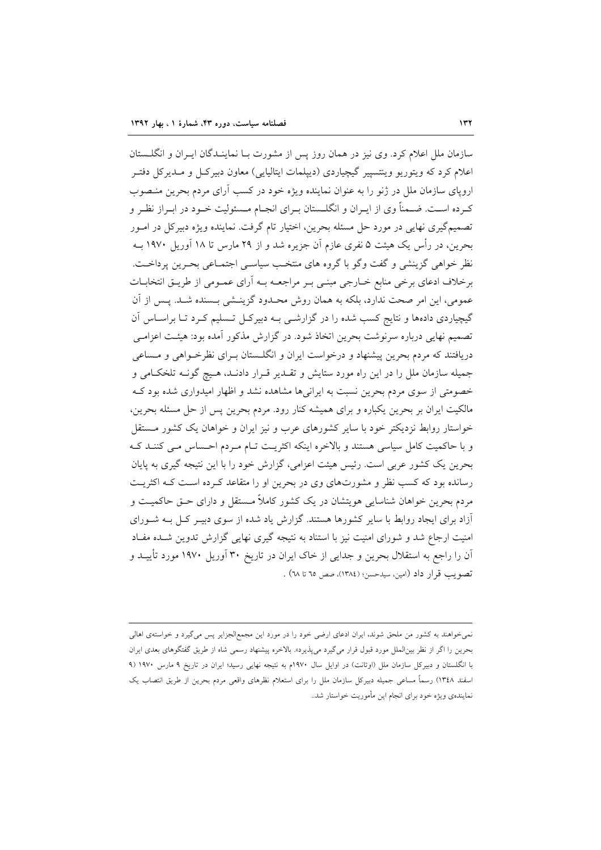سازمان ملل اعلام کرد. وی نیز در همان روز پس از مشورت بــا نماینــدگان ایــران و انگلــستان اعلام کرد که ویتوریو وینتسییر گیچیاردی (دیپلمات ایتالیایی) معاون دبیرک) و مـدیرکل دفتـر اروپای سازمان ملل در ژنو را به عنوان نماینده ویژه خود در کسب آرای مردم بحرین منـصوب کـرده اســت. ضــمناً وى از ايــران و انگلــستان بــراى انجــام مــسئوليت خــود در ابــراز نظــر و تصمیمگیری نهایی در مورد حل مسئله بحرین، اختیار تام گرفت. نماینده ویژه دبیرکل در امـور بحرین، در رأس یک هیئت ۵ نفری عازم آن جزیره شد و از ۲۹ مارس تا ۱۸ آوریل ۱۹۷۰ بــه نظر خواهی گزینشی و گفت وگو با گروه های منتخب سیاسی اجتمـاعی بحـرین پرداخـت. برخلاف ادعای برخی منابع خــارجی مبنــی بــر مراجعــه بــه آرای عمــومی از طریــق انتخابــات عمومي، اين امر صحت ندارد، بلكه به همان روش محـدود گزينــشي بــسنده شــد. پــس از آن گیچیاردی دادهها و نتایج کسب شده را در گزارشـی بـه دبیرکـل تـسلیم کـرد تـا براسـاس آن تصمیم نهایی درباره سرنوشت بحرین اتخاذ شود. در گزارش مذکور آمده بود: هیئـت اعزامـی دریافتند که مردم بحرین پیشنهاد و درخواست ایران و انگلـستان بـرای نظرخـواهی و مـساعی جمیله سازمان ملل را در این راه مورد ستایش و تقـدیر قـرار دادنـد، هـیچ گونـه تلخكـامی و خصومتی از سوی مردم بحرین نسبت به ایرانیها مشاهده نشد و اظهار امیدواری شده بود ک مالکیت ایران بر بحرین یکباره و برای همیشه کنار رود. مردم بحرین پس از حل مسئله بحرین، خواستار روابط نزدیکتر خود با سایر کشورهای عرب و نیز ایران و خواهان یک کشور مستقل و با حاکمیت کامل سیاسی هستند و بالاخره اینکه اکثریت تـام مـردم احـساس مـی کننـد کـه بحرین یک کشور عربی است. رئیس هیئت اعزامی، گزارش خود را با این نتیجه گیری به پایان رسانده بود که کسب نظر و مشورتهای وی در بحرین او را متقاعد کـرده اسـت کـه اکثریـت مردم بحرین خواهان شناسایی هویتشان در یک کشور کاملاً مــستقل و دارای حــق حاکمیــت و آزاد برای ایجاد روابط با سایر کشورها هستند. گزارش یاد شده از سوی دبیـر کـل بـه شـورای امنیت ارجاع شد و شورای امنیت نیز با استناد به نتیجه گیری نهایی گزارش تدوین شـده مفـاد آن را راجع به استقلال بحرین و جدایی از خاک ایران در تاریخ ۳۰ آوریل ۱۹۷۰ مورد تأییــد و تصويب قرار داد (امين، سيدحسن؛ (١٣٨٤)، صص ٦٥ تا ٦٨) .

نمی خواهند به کشور من ملحق شوند، ایران ادعای ارضی خود را در مورد این مجمعالجزایر پس می گیرد و خواستهی اهالی بحرین را اگر از نظر بین|لملل مورد قبول قرار میگیرد میپذیرد». بالاخره پیشنهاد رسمی شاه از طریق گفتگوهای بعدی ایران با انگلستان و دبیرکل سازمان ملل (اوتانت) در اوایل سال ۱۹۷۰م به نتیجه نهایی رسید؛ ایران در تاریخ ۹ مارس ۱۹۷۰ (۹ اسفند ١٣٤٨) رسماً مساعي جميله دبيركل سازمان ملل را براى استعلام نظرهاى واقعى مردم بحرين از طريق انتصاب يک نمایندهی ویژه خود برای انجام این مأموریت خواستار شد..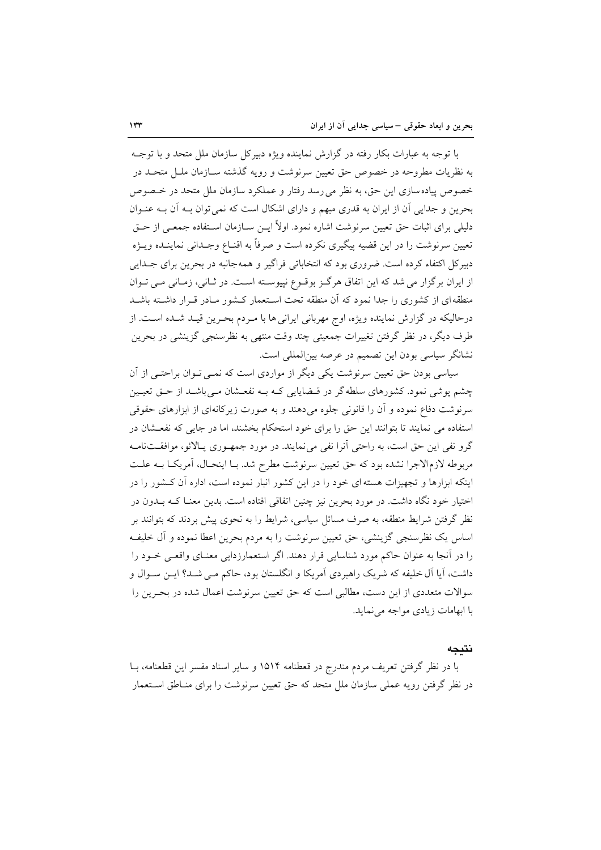با توجه به عبارات بکار رفته در گزارش نماینده ویژه دبیرکل سازمان ملل متحد و با توجــه به نظریات مطروحه در خصوص حق تعیین سرنوشت و رویه گذشته سـازمان ملــل متحــد در خصوص پیاده سازی این حق، به نظر می رسد رفتار و عملکرد سازمان ملل متحد در خـصوص بحرین و جدایی آن از ایران به قدری مبهم و دارای اشکال است که نمی توان بـه آن بـه عنـوان دلیلی برای اثبات حق تعیین سرنوشت اشاره نمود. اولاً ایــن ســازمان اســتفاده جمعــی از حــق تعيين سرنوشت را در اين قضيه پيگيري نكرده است و صرفاً به اقنـاع وجـداني نماينـده ويــژه دبیرکل اکتفاء کرده است. ضروری بود که انتخاباتی فراگیر و همهجانبه در بحرین برای جــدایی از ایران برگزار می شد که این اتفاق هرگز بوقوع نیپوسته است. در ثـانی، زمـانی مـی تـوان منطقه ای از کشوری را جدا نمود که آن منطقه تحت اسـتعمار کـشور مـادر قـرار داشـته باشـد درحاليكه در گزارش نماينده ويژه، اوج مهرباني ايراني ها با مـردم بحـرين قيـد شـده اسـت. از طرف ديگر، در نظر گرفتن تغييرات جمعيتي چند وقت منتهي به نظرسنجي گزينشي در بحرين نشانگر سیاسی بودن این تصمیم در عرصه بینالمللی است.

سیاسی بودن حق تعیین سرنوشت یکی دیگر از مواردی است که نمبی تـوان براحتـی از آن چشم پوشی نمود. کشورهای سلطه گر در قـضایایی کـه بـه نفعـشان مـیباشـد از حـق تعیـین سرنوشت دفاع نموده و آن را قانونی جلوه میدهند و به صورت زیرکانهای از ابزارهای حقوقی استفاده می نمایند تا بتوانند این حق را برای خود استحکام بخشند، اما در جایی که نفعـشان در گرو نفی این حق است، به راحتی آنرا نفی می نمایند. در مورد جمهـوری پـالائو، موافقـتنامـه مربوطه لازم الاجرا نشده بود كه حق تعيين سرنوشت مطرح شد. بـا اينحـال، آمريكـا بـه علـت اینکه ابزارها و تجهیزات هسته ای خود را در این کشور انبار نموده است، اداره آن کـشور را در اختیار خود نگاه داشت. در مورد بحرین نیز چنین اتفاقی افتاده است. بدین معنـا کـه بــدون در نظر گرفتن شرایط منطقه، به صرف مسائل سیاسی، شرایط را به نحوی پیش بردند که بتوانند بر اساس يک نظرسنجي گزينشي، حق تعيين سرنوشت را به مردم بحرين اعطا نموده و آل خليف را در آنجا به عنوان حاکم مورد شناسایی قرار دهند. اگر استعمارزدایی معنـای واقعـی خــود را داشت، آیا آل خلیفه که شریک راهبردی آمریکا و انگلستان بود، حاکم مبی شــد؟ ایــن ســوال و سوالات متعددی از این دست، مطالبی است که حق تعیین سرنوشت اعمال شده در بحـرین را با ابهامات زیادی مواجه می نماید.

#### نتىحە

با در نظر گرفتن تعریف مردم مندرج در قعطنامه ۱۵۱۴ و سایر اسناد مفسر این قطعنامه، بــا در نظر گرفتن رویه عملی سازمان ملل متحد که حق تعیین سرنوشت را برای منـاطق اسـتعمار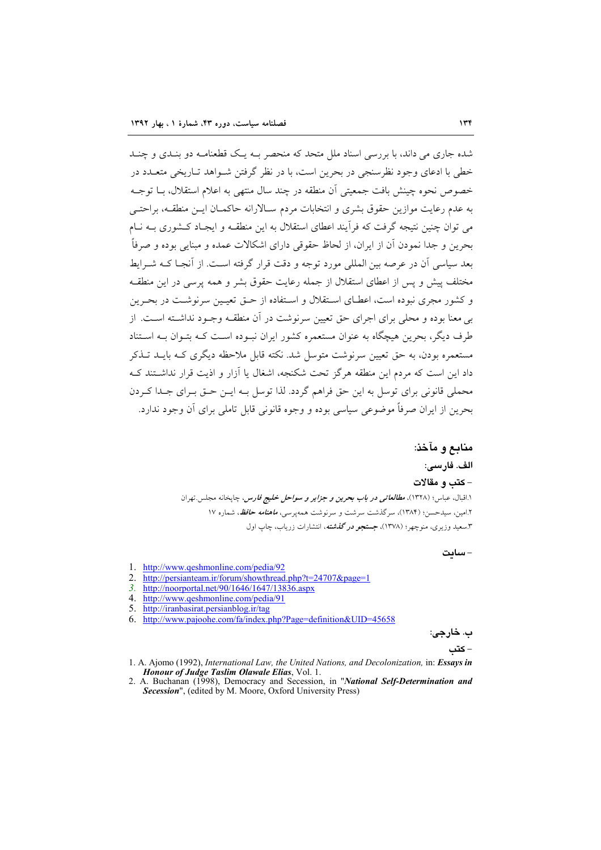شده جاری می داند، با بررسی اسناد ملل متحد که منحصر بـه یـک قطعنامـه دو بنـدی و چنـد خطی یا ادعای وجود نظرسنجی در بحرین است، یا در نظر گرفتن شیواهد تباریخی متعبدد در خصوص نحوه چینش بافت جمعیتی آن منطقه در چند سال منتهی به اعلام استقلال، بــا توجــه به عدم رعایت موازین حقوق بشری و انتخابات مردم سـالارانه حاکمـان ایـن منطقـه، براحتـی می توان چنین نتیجه گرفت که فرآیند اعطای استقلال به این منطقـه و ایجـاد کـشوری بـه نـام بحرين و جدا نمودن أن از ايران، از لحاظ حقوقي داراي اشكالات عمده و مبنايي بوده و صرفاً بعد سیاسی آن در عرصه بین المللی مورد توجه و دقت قرار گرفته اسـت. از آنجــا کــه شــ اىط مختلف پیش و پس از اعطای استقلال از جمله رعایت حقوق بشر و همه پرسی در این منطقـه و کشور مجری نبوده است، اعطـای اسـتقلال و اسـتفاده از حــق تعیــین سرنوشــت در بحـرین بی معنا بوده و محلی برای اجرای حق تعیین سرنوشت در آن منطقـه وجـود نداشـته اسـت. از طرف دیگر، بحرین هیچگاه به عنوان مستعمره کشور ایران نب وده است کـه بتـوان بـه اسـتناد مستعمره بودن، به حق تعیین سرنوشت متوسل شد. نکته قابل ملاحظه دیگری کـه بایــد تــذکر داد این است که مردم این منطقه هرگز تحت شکنجه، اشغال یا آزار و اذیت قرار نداشتند ک محملي قانوني براي توسل به اين حق فراهم گردد. لذا توسل بـه ايـن حـق بـراي جـدا كـردن بحرين از ايران صرفاً موضوعي سياسي بوده و وجوه قانوني قابل تاملي براي آن وجود ندارد.

> منابع و مآخذ: الف. فارسى: - كتب و مقالات ۱.اقبال، عباس؛ (۱۳۲۸)، *مطالعاتی در باب بحرین و جزایر و سواحل خلیج فارس،* چاپخانه مجلس تهران ۲.امین، سیدحسن؛ (۱۳۸۴)، سرگذشت سرشت و سرنوشت همهیرسی، *ماهنامه حافظ*، شماره ۱۷ ۳.سعید وزیری، منوچهر؛ (۱۳۷۸)، جستجه در گفشته، انتشارات زریاب، چاپ اول

> > - ساىت

- 1. http://www.qeshmonline.com/pedia/92
- 2. http://persianteam.ir/forum/showthread.php?t=24707&page=1
- $3<sub>1</sub>$ http://noorportal.net/90/1646/1647/13836.aspx
- 4. http://www.qeshmonline.com/pedia/91
- 5. http://iranbasirat.persianblog.ir/tag
- 6. http://www.pajoohe.com/fa/index.php?Page=definition&UID=45658

- 1. A. Ajomo (1992), International Law, the United Nations, and Decolonization, in: Essays in Honour of Judge Taslim Olawale Elias, Vol. 1.
- 2. A. Buchanan (1998), Democracy and Secession, in "National Self-Determination and Secession", (edited by M. Moore, Oxford University Press)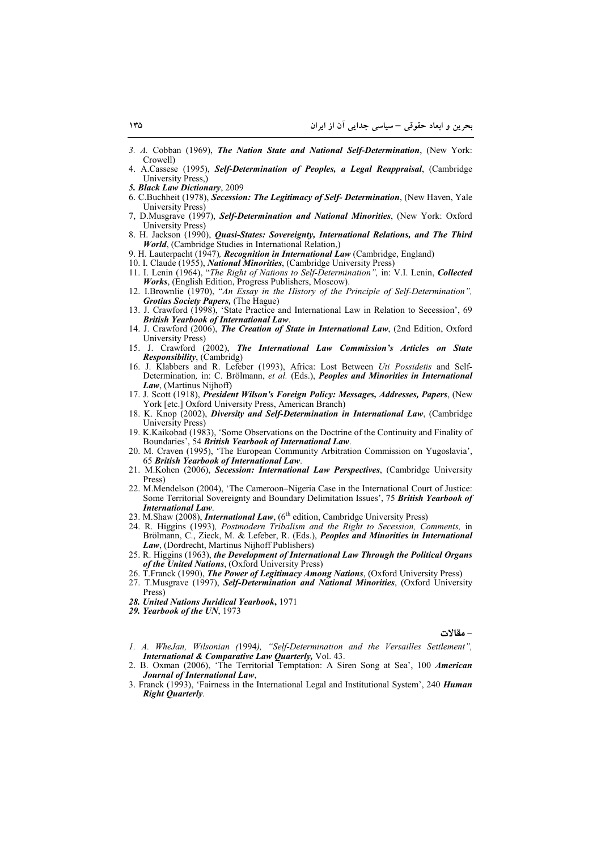- 3. A. Cobban (1969), The Nation State and National Self-Determination, (New York: Crowell)
- A.Cassese (1995), Self-Determination of Peoples, a Legal Reappraisal, (Cambridge University Press.)
- 5. Black Law Dictionary, 2009
- 6. C.Buchheit (1978), Secession: The Legitimacy of Self- Determination, (New Haven, Yale University Press)
- 7, D.Musgrave (1997), Self-Determination and National Minorities, (New York: Oxford University Press)
- 8. H. Jackson (1990), *Quasi-States: Sovereignty, International Relations, and The Third* World, (Cambridge Studies in International Relation,)
- 9. H. Lauterpacht (1947), Recognition in International Law (Cambridge, England)
- 10. I. Claude (1955), National Minorities, (Cambridge University Press)
- 11. I. Lenin (1964), "The Right of Nations to Self-Determination", in: V.I. Lenin, Collected Works, (English Edition, Progress Publishers, Moscow)
- 12. I.Brownlie (1970), "An Essay in the History of the Principle of Self-Determination", **Grotius Society Papers.** (The Hague)
- 13. J. Crawford (1998), 'State Practice and International Law in Relation to Secession', 69 **British Yearbook of International Law.**
- 14. J. Crawford (2006), The Creation of State in International Law, (2nd Edition, Oxford University Press)
- 15. J. Crawford (2002), The International Law Commission's Articles on State *Responsibility*, (Cambridg)
- 16. J. Klabbers and R. Lefeber (1993), Africa: Lost Between Uti Possidetis and Self-Determination, in: C. Brölmann, et al. (Eds.), Peoples and Minorities in International Law, (Martinus Nijhoff)
- 17. J. Scott (1918), President Wilson's Foreign Policy: Messages, Addresses, Papers, (New York [etc.] Oxford University Press, American Branch)
- 18. K. Knop (2002), *Diversity and Self-Determination in International Law*, (Cambridge **University Press)**
- 19. K.Kaikobad (1983), 'Some Observations on the Doctrine of the Continuity and Finality of Boundaries', 54 British Yearbook of International Law.<br>20. M. Craven (1995), 'The European Community Arbitration Commission on Yugoslavia',
- 65 British Yearbook of International Law.
- 21. M.Kohen (2006), Secession: International Law Perspectives, (Cambridge University Press)
- 22. M.Mendelson (2004), 'The Cameroon-Nigeria Case in the International Court of Justice: Some Territorial Sovereignty and Boundary Delimitation Issues', 75 British Yearbook of **International Law.**
- 23. M.Shaw (2008), *International Law*, (6<sup>th</sup> edition, Cambridge University Press)
- 24. R. Higgins (1993), Postmodern Tribalism and the Right to Secession, Comments, in Brölmann, C., Zieck, M. & Lefeber, R. (Eds.), Peoples and Minorities in International Law, (Dordrecht, Martinus Nijhoff Publishers)
- 25. R. Higgins (1963), the Development of International Law Through the Political Organs of the United Nations. (Oxford University Press)
- 26. T.Franck (1990), The Power of Legitimacy Among Nations, (Oxford University Press)
- 27. T.Musgrave (1997), Self-Determination and National Minorities, (Oxford University Press)
- 28. United Nations Juridical Yearbook, 1971
- 29. Yearbook of the UN, 1973

#### – مقالات

- 1. A. WheJan, Wilsonian (1994), "Self-Determination and the Versailles Settlement", International & Comparative Law Quarterly, Vol. 43.
- 2. B. Oxman (2006), 'The Territorial Temptation: A Siren Song at Sea', 100 American Journal of International Law,
- 3. Franck (1993), 'Fairness in the International Legal and Institutional System', 240 Human **Right Quarterly.**